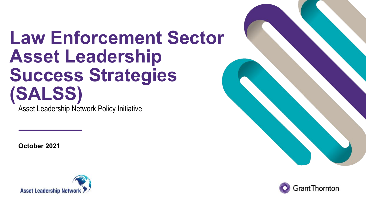# **Law Enforcement Sector Asset Leadership Success Strategies (SALSS)**

Asset Leadership Network Policy Initiative

**October 2021**





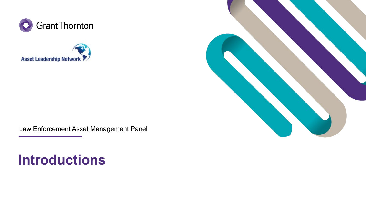





Law Enforcement Asset Management Panel

## **Introductions**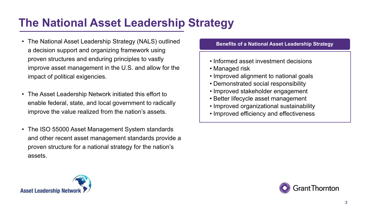#### **The National Asset Leadership Strategy**

- The National Asset Leadership Strategy (NALS) outlined a decision support and organizing framework using proven structures and enduring principles to vastly improve asset management in the U.S. and allow for the impact of political exigencies.
- The Asset Leadership Network initiated this effort to enable federal, state, and local government to radically improve the value realized from the nation's assets.
- The ISO 55000 Asset Management System standards and other recent asset management standards provide a proven structure for a national strategy for the nation's assets.

#### **Benefits of a National Asset Leadership Strategy**

- Informed asset investment decisions
- Managed risk
- Improved alignment to national goals
- Demonstrated social responsibility
- Improved stakeholder engagement
- Better lifecycle asset management
- Improved organizational sustainability
- Improved efficiency and effectiveness



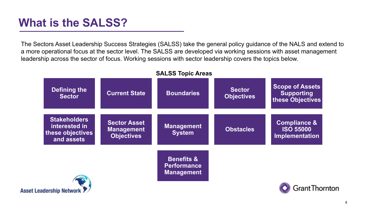#### **What is the SALSS?**

The Sectors Asset Leadership Success Strategies (SALSS) take the general policy guidance of the NALS and extend to a more operational focus at the sector level. The SALSS are developed via working sessions with asset management leadership across the sector of focus. Working sessions with sector leadership covers the topics below.



#### **SALSS Topic Areas**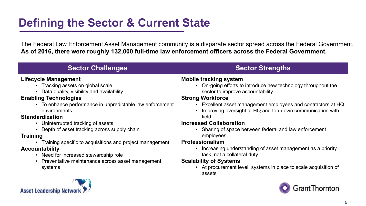## **Defining the Sector & Current State**

The Federal Law Enforcement Asset Management community is a disparate sector spread across the Federal Government. **As of 2016, there were roughly 132,000 full-time law enforcement officers across the Federal Government.** 

| <b>Sector Challenges</b>                                                                                                                                                                                                                                                                   | <b>Sector Strengths</b>                                                                                                                                                                                                                                                                                                           |
|--------------------------------------------------------------------------------------------------------------------------------------------------------------------------------------------------------------------------------------------------------------------------------------------|-----------------------------------------------------------------------------------------------------------------------------------------------------------------------------------------------------------------------------------------------------------------------------------------------------------------------------------|
| <b>Lifecycle Management</b><br>• Tracking assets on global scale<br>Data quality, visibility and availability<br><b>Enabling Technologies</b><br>• To enhance performance in unpredictable law enforcement<br>environments<br><b>Standardization</b><br>• Uninterrupted tracking of assets | <b>Mobile tracking system</b><br>On-going efforts to introduce new technology throughout the<br>sector to improve accountability<br><b>Strong Workforce</b><br>Excellent asset management employees and contractors at HQ<br>Improving oversight at HQ and top-down communication with<br>field<br><b>Increased Collaboration</b> |
| Depth of asset tracking across supply chain<br><b>Training</b><br>Training specific to acquisitions and project management<br><b>Accountability</b><br>Need for increased stewardship role<br>Preventative maintenance across asset management<br>systems                                  | Sharing of space between federal and law enforcement<br>employees<br><b>Professionalism</b><br>Increasing understanding of asset management as a priority<br>task, not a collateral duty.<br><b>Scalability of Systems</b><br>• At procurement level, systems in place to scale acquisition of<br>assets                          |
|                                                                                                                                                                                                                                                                                            |                                                                                                                                                                                                                                                                                                                                   |

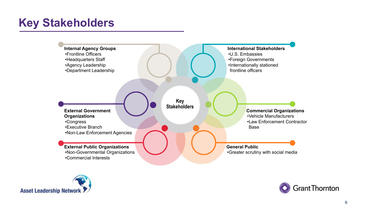## **Key Stakeholders**





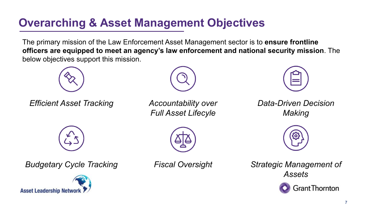### **Overarching & Asset Management Objectives**

The primary mission of the Law Enforcement Asset Management sector is to **ensure frontline officers are equipped to meet an agency's law enforcement and national security mission**. The below objectives support this mission.



*Efficient Asset Tracking Accountability over* 



*Full Asset Lifecyle*



*Data-Driven Decision Making*



*Strategic Management of Assets*





*Budgetary Cycle Tracking Fiscal Oversight*

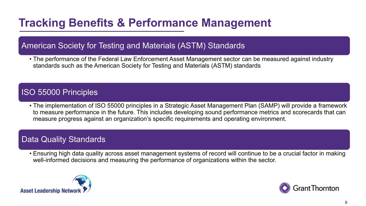## **Tracking Benefits & Performance Management**

#### American Society for Testing and Materials (ASTM) Standards

• The performance of the Federal Law Enforcement Asset Management sector can be measured against industry standards such as the American Society for Testing and Materials (ASTM) standards

#### ISO 55000 Principles

• The implementation of ISO 55000 principles in a Strategic Asset Management Plan (SAMP) will provide a framework to measure performance in the future. This includes developing sound performance metrics and scorecards that can measure progress against an organization's specific requirements and operating environment.

#### Data Quality Standards

• Ensuring high data quality across asset management systems of record will continue to be a crucial factor in making well-informed decisions and measuring the performance of organizations within the sector.